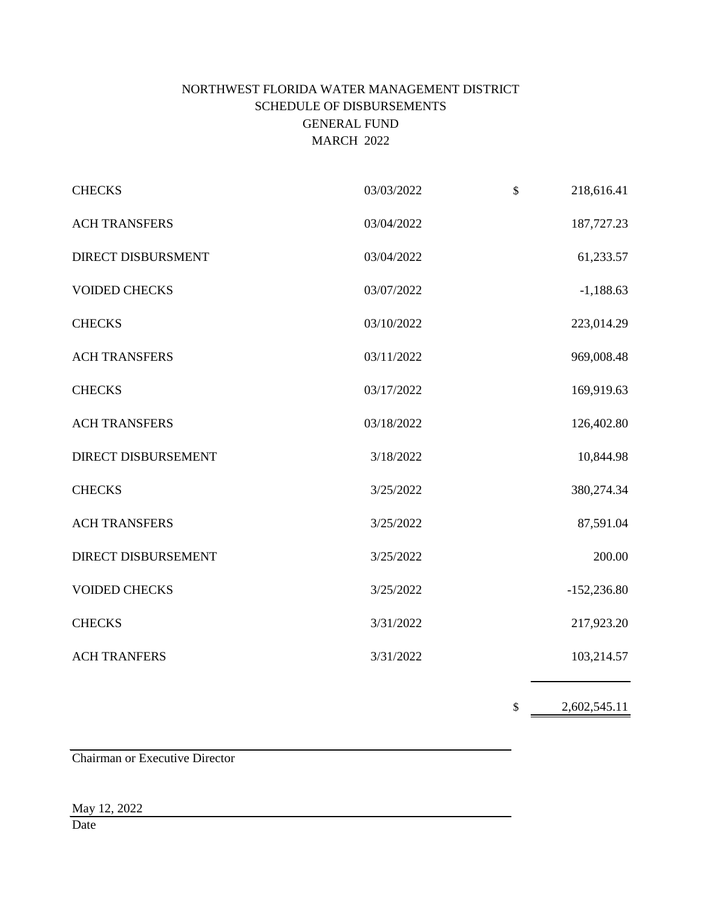# NORTHWEST FLORIDA WATER MANAGEMENT DISTRICT SCHEDULE OF DISBURSEMENTS GENERAL FUND MARCH 2022

| <b>CHECKS</b>              | 03/03/2022 | $\mathbb{S}$<br>218,616.41 |
|----------------------------|------------|----------------------------|
| <b>ACH TRANSFERS</b>       | 03/04/2022 | 187,727.23                 |
| DIRECT DISBURSMENT         | 03/04/2022 | 61,233.57                  |
| <b>VOIDED CHECKS</b>       | 03/07/2022 | $-1,188.63$                |
| <b>CHECKS</b>              | 03/10/2022 | 223,014.29                 |
| <b>ACH TRANSFERS</b>       | 03/11/2022 | 969,008.48                 |
| <b>CHECKS</b>              | 03/17/2022 | 169,919.63                 |
| <b>ACH TRANSFERS</b>       | 03/18/2022 | 126,402.80                 |
| <b>DIRECT DISBURSEMENT</b> | 3/18/2022  | 10,844.98                  |
| <b>CHECKS</b>              | 3/25/2022  | 380,274.34                 |
| <b>ACH TRANSFERS</b>       | 3/25/2022  | 87,591.04                  |
| DIRECT DISBURSEMENT        | 3/25/2022  | 200.00                     |
| <b>VOIDED CHECKS</b>       | 3/25/2022  | $-152,236.80$              |
| <b>CHECKS</b>              | 3/31/2022  | 217,923.20                 |
| <b>ACH TRANFERS</b>        | 3/31/2022  | 103,214.57                 |
|                            |            |                            |

 $\frac{2,602,545.11}{2}$ 

Chairman or Executive Director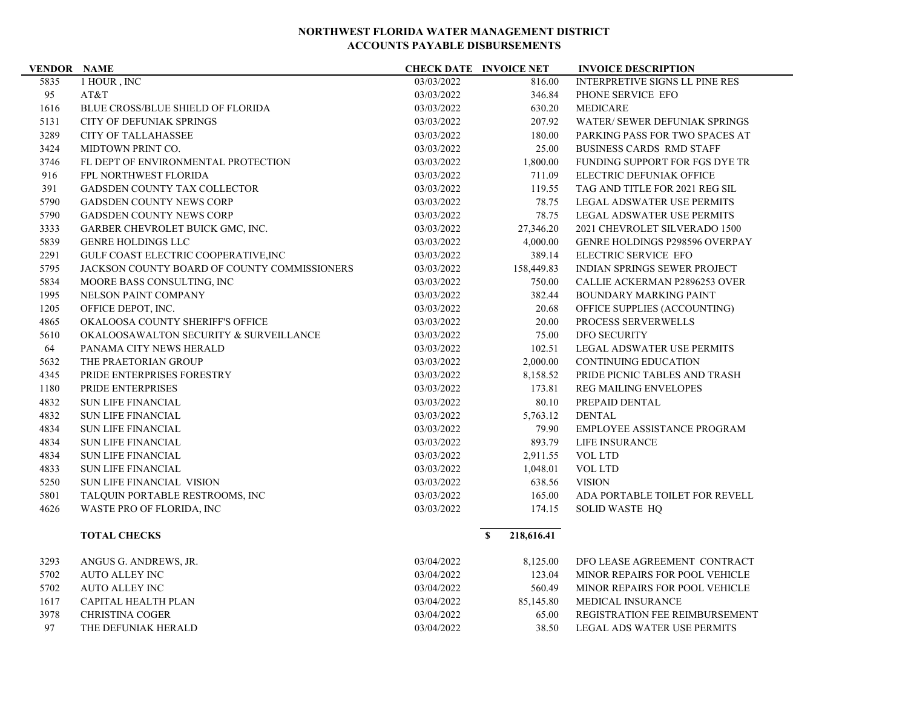| <b>VENDOR NAME</b> |                                              |            | <b>CHECK DATE INVOICE NET</b> | <b>INVOICE DESCRIPTION</b>            |
|--------------------|----------------------------------------------|------------|-------------------------------|---------------------------------------|
| 5835               | 1 HOUR, INC                                  | 03/03/2022 | 816.00                        | <b>INTERPRETIVE SIGNS LL PINE RES</b> |
| 95                 | AT&T                                         | 03/03/2022 | 346.84                        | PHONE SERVICE EFO                     |
| 1616               | <b>BLUE CROSS/BLUE SHIELD OF FLORIDA</b>     | 03/03/2022 | 630.20                        | <b>MEDICARE</b>                       |
| 5131               | <b>CITY OF DEFUNIAK SPRINGS</b>              | 03/03/2022 | 207.92                        | WATER/ SEWER DEFUNIAK SPRINGS         |
| 3289               | <b>CITY OF TALLAHASSEE</b>                   | 03/03/2022 | 180.00                        | PARKING PASS FOR TWO SPACES AT        |
| 3424               | MIDTOWN PRINT CO.                            | 03/03/2022 | 25.00                         | <b>BUSINESS CARDS RMD STAFF</b>       |
| 3746               | FL DEPT OF ENVIRONMENTAL PROTECTION          | 03/03/2022 | 1,800.00                      | FUNDING SUPPORT FOR FGS DYE TR        |
| 916                | FPL NORTHWEST FLORIDA                        | 03/03/2022 | 711.09                        | <b>ELECTRIC DEFUNIAK OFFICE</b>       |
| 391                | GADSDEN COUNTY TAX COLLECTOR                 | 03/03/2022 | 119.55                        | TAG AND TITLE FOR 2021 REG SIL        |
| 5790               | <b>GADSDEN COUNTY NEWS CORP</b>              | 03/03/2022 | 78.75                         | <b>LEGAL ADSWATER USE PERMITS</b>     |
| 5790               | <b>GADSDEN COUNTY NEWS CORP</b>              | 03/03/2022 | 78.75                         | LEGAL ADSWATER USE PERMITS            |
| 3333               | GARBER CHEVROLET BUICK GMC, INC.             | 03/03/2022 | 27,346.20                     | 2021 CHEVROLET SILVERADO 1500         |
| 5839               | <b>GENRE HOLDINGS LLC</b>                    | 03/03/2022 | 4,000.00                      | <b>GENRE HOLDINGS P298596 OVERPAY</b> |
| 2291               | GULF COAST ELECTRIC COOPERATIVE, INC         | 03/03/2022 | 389.14                        | ELECTRIC SERVICE EFO                  |
| 5795               | JACKSON COUNTY BOARD OF COUNTY COMMISSIONERS | 03/03/2022 | 158,449.83                    | <b>INDIAN SPRINGS SEWER PROJECT</b>   |
| 5834               | MOORE BASS CONSULTING, INC                   | 03/03/2022 | 750.00                        | CALLIE ACKERMAN P2896253 OVER         |
| 1995               | NELSON PAINT COMPANY                         | 03/03/2022 | 382.44                        | <b>BOUNDARY MARKING PAINT</b>         |
| 1205               | OFFICE DEPOT, INC.                           | 03/03/2022 | 20.68                         | OFFICE SUPPLIES (ACCOUNTING)          |
| 4865               | OKALOOSA COUNTY SHERIFF'S OFFICE             | 03/03/2022 | 20.00                         | PROCESS SERVERWELLS                   |
| 5610               | OKALOOSAWALTON SECURITY & SURVEILLANCE       | 03/03/2022 | 75.00                         | <b>DFO SECURITY</b>                   |
| 64                 | PANAMA CITY NEWS HERALD                      | 03/03/2022 | 102.51                        | LEGAL ADSWATER USE PERMITS            |
| 5632               | THE PRAETORIAN GROUP                         | 03/03/2022 | 2,000.00                      | <b>CONTINUING EDUCATION</b>           |
| 4345               | PRIDE ENTERPRISES FORESTRY                   | 03/03/2022 | 8,158.52                      | PRIDE PICNIC TABLES AND TRASH         |
| 1180               | PRIDE ENTERPRISES                            | 03/03/2022 | 173.81                        | <b>REG MAILING ENVELOPES</b>          |
| 4832               | <b>SUN LIFE FINANCIAL</b>                    | 03/03/2022 | 80.10                         | PREPAID DENTAL                        |
| 4832               | <b>SUN LIFE FINANCIAL</b>                    | 03/03/2022 | 5,763.12                      | <b>DENTAL</b>                         |
| 4834               | <b>SUN LIFE FINANCIAL</b>                    | 03/03/2022 | 79.90                         | EMPLOYEE ASSISTANCE PROGRAM           |
| 4834               | <b>SUN LIFE FINANCIAL</b>                    | 03/03/2022 | 893.79                        | LIFE INSURANCE                        |
| 4834               | <b>SUN LIFE FINANCIAL</b>                    | 03/03/2022 | 2,911.55                      | <b>VOL LTD</b>                        |
| 4833               | <b>SUN LIFE FINANCIAL</b>                    | 03/03/2022 | 1,048.01                      | <b>VOL LTD</b>                        |
| 5250               | SUN LIFE FINANCIAL VISION                    | 03/03/2022 | 638.56                        | <b>VISION</b>                         |
| 5801               | TALQUIN PORTABLE RESTROOMS, INC              | 03/03/2022 | 165.00                        | ADA PORTABLE TOILET FOR REVELL        |
| 4626               | WASTE PRO OF FLORIDA, INC                    | 03/03/2022 | 174.15                        | <b>SOLID WASTE HQ</b>                 |
|                    | <b>TOTAL CHECKS</b>                          |            | $\mathbf{s}$<br>218,616.41    |                                       |
| 3293               | ANGUS G. ANDREWS, JR.                        | 03/04/2022 | 8,125.00                      | DFO LEASE AGREEMENT CONTRACT          |
| 5702               | <b>AUTO ALLEY INC</b>                        | 03/04/2022 | 123.04                        | MINOR REPAIRS FOR POOL VEHICLE        |
| 5702               | <b>AUTO ALLEY INC</b>                        | 03/04/2022 | 560.49                        | MINOR REPAIRS FOR POOL VEHICLE        |
| 1617               | CAPITAL HEALTH PLAN                          | 03/04/2022 | 85,145.80                     | <b>MEDICAL INSURANCE</b>              |
| 3978               | <b>CHRISTINA COGER</b>                       | 03/04/2022 | 65.00                         | REGISTRATION FEE REIMBURSEMENT        |
| 97                 | THE DEFUNIAK HERALD                          | 03/04/2022 | 38.50                         | <b>LEGAL ADS WATER USE PERMITS</b>    |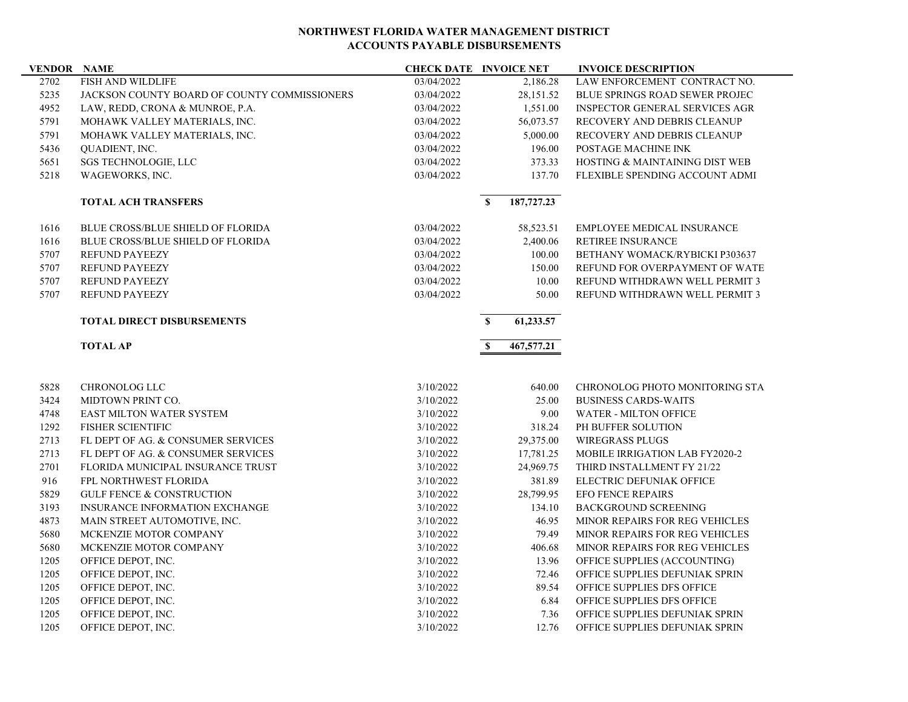| <b>VENDOR NAME</b> |                                              |            | <b>CHECK DATE INVOICE NET</b> | <b>INVOICE DESCRIPTION</b>            |
|--------------------|----------------------------------------------|------------|-------------------------------|---------------------------------------|
| 2702               | FISH AND WILDLIFE                            | 03/04/2022 | 2,186.28                      | LAW ENFORCEMENT CONTRACT NO.          |
| 5235               | JACKSON COUNTY BOARD OF COUNTY COMMISSIONERS | 03/04/2022 | 28,151.52                     | <b>BLUE SPRINGS ROAD SEWER PROJEC</b> |
| 4952               | LAW, REDD, CRONA & MUNROE, P.A.              | 03/04/2022 | 1,551.00                      | <b>INSPECTOR GENERAL SERVICES AGR</b> |
| 5791               | MOHAWK VALLEY MATERIALS, INC.                | 03/04/2022 | 56,073.57                     | RECOVERY AND DEBRIS CLEANUP           |
| 5791               | MOHAWK VALLEY MATERIALS, INC.                | 03/04/2022 | 5,000.00                      | RECOVERY AND DEBRIS CLEANUP           |
| 5436               | QUADIENT, INC.                               | 03/04/2022 | 196.00                        | POSTAGE MACHINE INK                   |
| 5651               | <b>SGS TECHNOLOGIE, LLC</b>                  | 03/04/2022 | 373.33                        | HOSTING & MAINTAINING DIST WEB        |
| 5218               | WAGEWORKS, INC.                              | 03/04/2022 | 137.70                        | FLEXIBLE SPENDING ACCOUNT ADMI        |
|                    | <b>TOTAL ACH TRANSFERS</b>                   |            | 187,727.23<br>$\mathbf{s}$    |                                       |
| 1616               | <b>BLUE CROSS/BLUE SHIELD OF FLORIDA</b>     | 03/04/2022 | 58,523.51                     | <b>EMPLOYEE MEDICAL INSURANCE</b>     |
| 1616               | <b>BLUE CROSS/BLUE SHIELD OF FLORIDA</b>     | 03/04/2022 | 2,400.06                      | RETIREE INSURANCE                     |
| 5707               | <b>REFUND PAYEEZY</b>                        | 03/04/2022 | 100.00                        | BETHANY WOMACK/RYBICKI P303637        |
| 5707               | <b>REFUND PAYEEZY</b>                        | 03/04/2022 | 150.00                        | REFUND FOR OVERPAYMENT OF WATE        |
| 5707               | <b>REFUND PAYEEZY</b>                        | 03/04/2022 | 10.00                         | REFUND WITHDRAWN WELL PERMIT 3        |
| 5707               | <b>REFUND PAYEEZY</b>                        | 03/04/2022 | 50.00                         | REFUND WITHDRAWN WELL PERMIT 3        |
|                    | <b>TOTAL DIRECT DISBURSEMENTS</b>            |            | 61,233.57<br>$\mathbf{s}$     |                                       |
|                    | <b>TOTAL AP</b>                              |            | $\mathbf{s}$<br>467,577.21    |                                       |
| 5828               | CHRONOLOG LLC                                | 3/10/2022  | 640.00                        | CHRONOLOG PHOTO MONITORING STA        |
| 3424               | MIDTOWN PRINT CO.                            | 3/10/2022  | 25.00                         | <b>BUSINESS CARDS-WAITS</b>           |
| 4748               | EAST MILTON WATER SYSTEM                     | 3/10/2022  | 9.00                          | <b>WATER - MILTON OFFICE</b>          |
| 1292               | <b>FISHER SCIENTIFIC</b>                     | 3/10/2022  | 318.24                        | PH BUFFER SOLUTION                    |
| 2713               | FL DEPT OF AG. & CONSUMER SERVICES           | 3/10/2022  | 29,375.00                     | <b>WIREGRASS PLUGS</b>                |
| 2713               | FL DEPT OF AG. & CONSUMER SERVICES           | 3/10/2022  | 17,781.25                     | MOBILE IRRIGATION LAB FY2020-2        |
| 2701               | FLORIDA MUNICIPAL INSURANCE TRUST            | 3/10/2022  | 24,969.75                     | THIRD INSTALLMENT FY 21/22            |
| 916                | FPL NORTHWEST FLORIDA                        | 3/10/2022  | 381.89                        | ELECTRIC DEFUNIAK OFFICE              |
| 5829               | <b>GULF FENCE &amp; CONSTRUCTION</b>         | 3/10/2022  | 28,799.95                     | <b>EFO FENCE REPAIRS</b>              |
| 3193               | <b>INSURANCE INFORMATION EXCHANGE</b>        | 3/10/2022  | 134.10                        | <b>BACKGROUND SCREENING</b>           |
| 4873               | MAIN STREET AUTOMOTIVE, INC.                 | 3/10/2022  | 46.95                         | MINOR REPAIRS FOR REG VEHICLES        |
| 5680               | MCKENZIE MOTOR COMPANY                       | 3/10/2022  | 79.49                         | MINOR REPAIRS FOR REG VEHICLES        |
| 5680               | MCKENZIE MOTOR COMPANY                       | 3/10/2022  | 406.68                        | MINOR REPAIRS FOR REG VEHICLES        |
| 1205               | OFFICE DEPOT, INC.                           | 3/10/2022  | 13.96                         | OFFICE SUPPLIES (ACCOUNTING)          |
| 1205               | OFFICE DEPOT, INC.                           | 3/10/2022  | 72.46                         | OFFICE SUPPLIES DEFUNIAK SPRIN        |
| 1205               | OFFICE DEPOT, INC.                           | 3/10/2022  | 89.54                         | OFFICE SUPPLIES DFS OFFICE            |
| 1205               |                                              |            |                               |                                       |
|                    | OFFICE DEPOT, INC.                           | 3/10/2022  | 6.84                          | OFFICE SUPPLIES DFS OFFICE            |
| 1205               | OFFICE DEPOT, INC.                           | 3/10/2022  | 7.36                          | OFFICE SUPPLIES DEFUNIAK SPRIN        |
| 1205               | OFFICE DEPOT, INC.                           | 3/10/2022  | 12.76                         | OFFICE SUPPLIES DEFUNIAK SPRIN        |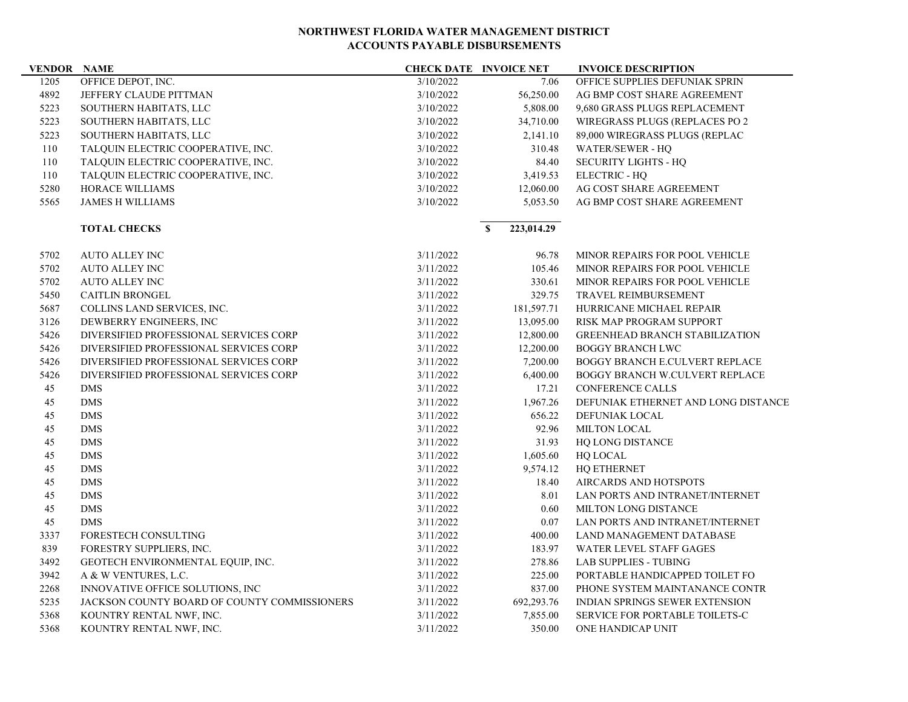| <b>VENDOR NAME</b> |                                              |           | <b>CHECK DATE INVOICE NET</b> | <b>INVOICE DESCRIPTION</b>            |
|--------------------|----------------------------------------------|-----------|-------------------------------|---------------------------------------|
| 1205               | OFFICE DEPOT, INC.                           | 3/10/2022 | 7.06                          | OFFICE SUPPLIES DEFUNIAK SPRIN        |
| 4892               | JEFFERY CLAUDE PITTMAN                       | 3/10/2022 | 56,250.00                     | AG BMP COST SHARE AGREEMENT           |
| 5223               | SOUTHERN HABITATS, LLC                       | 3/10/2022 | 5,808.00                      | 9,680 GRASS PLUGS REPLACEMENT         |
| 5223               | SOUTHERN HABITATS, LLC                       | 3/10/2022 | 34,710.00                     | WIREGRASS PLUGS (REPLACES PO 2        |
| 5223               | SOUTHERN HABITATS, LLC                       | 3/10/2022 | 2,141.10                      | 89,000 WIREGRASS PLUGS (REPLAC        |
| 110                | TALQUIN ELECTRIC COOPERATIVE, INC.           | 3/10/2022 | 310.48                        | WATER/SEWER - HO                      |
| 110                | TALQUIN ELECTRIC COOPERATIVE, INC.           | 3/10/2022 | 84.40                         | <b>SECURITY LIGHTS - HQ</b>           |
| 110                | TALQUIN ELECTRIC COOPERATIVE, INC.           | 3/10/2022 | 3,419.53                      | <b>ELECTRIC - HQ</b>                  |
| 5280               | HORACE WILLIAMS                              | 3/10/2022 | 12,060.00                     | AG COST SHARE AGREEMENT               |
| 5565               | <b>JAMES H WILLIAMS</b>                      | 3/10/2022 | 5,053.50                      | AG BMP COST SHARE AGREEMENT           |
|                    | <b>TOTAL CHECKS</b>                          |           | 223,014.29<br>$\mathbf{s}$    |                                       |
| 5702               | <b>AUTO ALLEY INC</b>                        | 3/11/2022 | 96.78                         | MINOR REPAIRS FOR POOL VEHICLE        |
| 5702               | <b>AUTO ALLEY INC</b>                        | 3/11/2022 | 105.46                        | MINOR REPAIRS FOR POOL VEHICLE        |
| 5702               | <b>AUTO ALLEY INC</b>                        | 3/11/2022 | 330.61                        | MINOR REPAIRS FOR POOL VEHICLE        |
| 5450               | <b>CAITLIN BRONGEL</b>                       | 3/11/2022 | 329.75                        | TRAVEL REIMBURSEMENT                  |
| 5687               | COLLINS LAND SERVICES, INC.                  | 3/11/2022 | 181,597.71                    | HURRICANE MICHAEL REPAIR              |
| 3126               | DEWBERRY ENGINEERS, INC.                     | 3/11/2022 | 13,095.00                     | RISK MAP PROGRAM SUPPORT              |
| 5426               | DIVERSIFIED PROFESSIONAL SERVICES CORP       | 3/11/2022 | 12,800.00                     | <b>GREENHEAD BRANCH STABILIZATION</b> |
| 5426               | DIVERSIFIED PROFESSIONAL SERVICES CORP       | 3/11/2022 | 12,200.00                     | <b>BOGGY BRANCH LWC</b>               |
| 5426               | DIVERSIFIED PROFESSIONAL SERVICES CORP       | 3/11/2022 | 7,200.00                      | BOGGY BRANCH E.CULVERT REPLACE        |
| 5426               | DIVERSIFIED PROFESSIONAL SERVICES CORP       | 3/11/2022 | 6,400.00                      | BOGGY BRANCH W.CULVERT REPLACE        |
| 45                 | <b>DMS</b>                                   | 3/11/2022 | 17.21                         | <b>CONFERENCE CALLS</b>               |
| 45                 | <b>DMS</b>                                   | 3/11/2022 | 1,967.26                      | DEFUNIAK ETHERNET AND LONG DISTANCE   |
| 45                 | $\rm{DMS}$                                   | 3/11/2022 | 656.22                        | DEFUNIAK LOCAL                        |
| 45                 | $\rm{DMS}$                                   | 3/11/2022 | 92.96                         | <b>MILTON LOCAL</b>                   |
| 45                 | <b>DMS</b>                                   | 3/11/2022 | 31.93                         | HQ LONG DISTANCE                      |
| 45                 | <b>DMS</b>                                   | 3/11/2022 | 1,605.60                      | HQ LOCAL                              |
| 45                 | <b>DMS</b>                                   | 3/11/2022 | 9,574.12                      | <b>HO ETHERNET</b>                    |
| 45                 | <b>DMS</b>                                   | 3/11/2022 | 18.40                         | AIRCARDS AND HOTSPOTS                 |
| 45                 | <b>DMS</b>                                   | 3/11/2022 | 8.01                          | LAN PORTS AND INTRANET/INTERNET       |
| 45                 | <b>DMS</b>                                   | 3/11/2022 | 0.60                          | <b>MILTON LONG DISTANCE</b>           |
| 45                 | <b>DMS</b>                                   | 3/11/2022 | 0.07                          | LAN PORTS AND INTRANET/INTERNET       |
| 3337               | <b>FORESTECH CONSULTING</b>                  | 3/11/2022 | 400.00                        | LAND MANAGEMENT DATABASE              |
| 839                | FORESTRY SUPPLIERS, INC.                     | 3/11/2022 | 183.97                        | <b>WATER LEVEL STAFF GAGES</b>        |
| 3492               | GEOTECH ENVIRONMENTAL EQUIP, INC.            | 3/11/2022 | 278.86                        | <b>LAB SUPPLIES - TUBING</b>          |
| 3942               | A & W VENTURES, L.C.                         | 3/11/2022 | 225.00                        | PORTABLE HANDICAPPED TOILET FO        |
| 2268               | INNOVATIVE OFFICE SOLUTIONS, INC             | 3/11/2022 | 837.00                        | PHONE SYSTEM MAINTANANCE CONTR        |
| 5235               | JACKSON COUNTY BOARD OF COUNTY COMMISSIONERS | 3/11/2022 | 692,293.76                    | <b>INDIAN SPRINGS SEWER EXTENSION</b> |
| 5368               | KOUNTRY RENTAL NWF, INC.                     | 3/11/2022 | 7,855.00                      | SERVICE FOR PORTABLE TOILETS-C        |
| 5368               | KOUNTRY RENTAL NWF, INC.                     | 3/11/2022 | 350.00                        | ONE HANDICAP UNIT                     |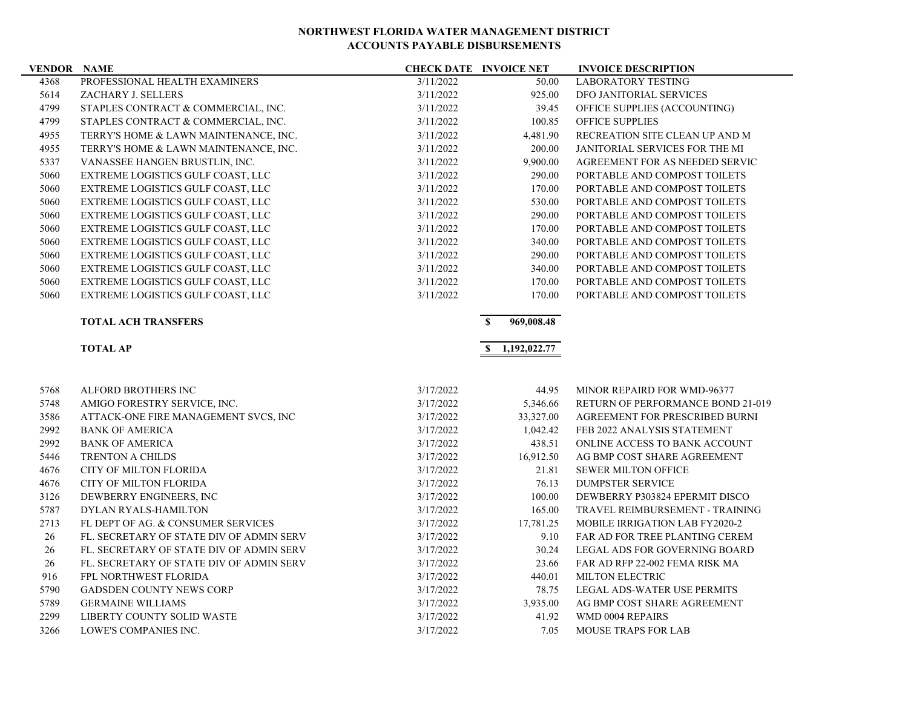| <b>VENDOR NAME</b> |                                          |           | <b>CHECK DATE INVOICE NET</b> | <b>INVOICE DESCRIPTION</b>            |
|--------------------|------------------------------------------|-----------|-------------------------------|---------------------------------------|
| 4368               | PROFESSIONAL HEALTH EXAMINERS            | 3/11/2022 | 50.00                         | <b>LABORATORY TESTING</b>             |
| 5614               | ZACHARY J. SELLERS                       | 3/11/2022 | 925.00                        | DFO JANITORIAL SERVICES               |
| 4799               | STAPLES CONTRACT & COMMERCIAL, INC.      | 3/11/2022 | 39.45                         | OFFICE SUPPLIES (ACCOUNTING)          |
| 4799               | STAPLES CONTRACT & COMMERCIAL, INC.      | 3/11/2022 | 100.85                        | <b>OFFICE SUPPLIES</b>                |
| 4955               | TERRY'S HOME & LAWN MAINTENANCE, INC.    | 3/11/2022 | 4,481.90                      | RECREATION SITE CLEAN UP AND M        |
| 4955               | TERRY'S HOME & LAWN MAINTENANCE, INC.    | 3/11/2022 | 200.00                        | JANITORIAL SERVICES FOR THE MI        |
| 5337               | VANASSEE HANGEN BRUSTLIN, INC.           | 3/11/2022 | 9,900.00                      | AGREEMENT FOR AS NEEDED SERVIC        |
| 5060               | EXTREME LOGISTICS GULF COAST, LLC        | 3/11/2022 | 290.00                        | PORTABLE AND COMPOST TOILETS          |
| 5060               | EXTREME LOGISTICS GULF COAST, LLC        | 3/11/2022 | 170.00                        | PORTABLE AND COMPOST TOILETS          |
| 5060               | EXTREME LOGISTICS GULF COAST, LLC        | 3/11/2022 | 530.00                        | PORTABLE AND COMPOST TOILETS          |
| 5060               | EXTREME LOGISTICS GULF COAST, LLC        | 3/11/2022 | 290.00                        | PORTABLE AND COMPOST TOILETS          |
| 5060               | EXTREME LOGISTICS GULF COAST, LLC        | 3/11/2022 | 170.00                        | PORTABLE AND COMPOST TOILETS          |
| 5060               | EXTREME LOGISTICS GULF COAST, LLC        | 3/11/2022 | 340.00                        | PORTABLE AND COMPOST TOILETS          |
| 5060               | EXTREME LOGISTICS GULF COAST, LLC        | 3/11/2022 | 290.00                        | PORTABLE AND COMPOST TOILETS          |
| 5060               | EXTREME LOGISTICS GULF COAST, LLC        | 3/11/2022 | 340.00                        | PORTABLE AND COMPOST TOILETS          |
| 5060               | EXTREME LOGISTICS GULF COAST, LLC        | 3/11/2022 | 170.00                        | PORTABLE AND COMPOST TOILETS          |
| 5060               | EXTREME LOGISTICS GULF COAST, LLC        | 3/11/2022 | 170.00                        | PORTABLE AND COMPOST TOILETS          |
|                    | <b>TOTAL ACH TRANSFERS</b>               |           | $\mathbf{s}$<br>969,008.48    |                                       |
|                    |                                          |           |                               |                                       |
|                    | <b>TOTAL AP</b>                          |           | \$1,192,022.77                |                                       |
|                    |                                          |           |                               |                                       |
| 5768               | ALFORD BROTHERS INC                      | 3/17/2022 | 44.95                         | MINOR REPAIRD FOR WMD-96377           |
| 5748               | AMIGO FORESTRY SERVICE, INC.             | 3/17/2022 | 5,346.66                      | RETURN OF PERFORMANCE BOND 21-019     |
| 3586               | ATTACK-ONE FIRE MANAGEMENT SVCS, INC     | 3/17/2022 | 33,327.00                     | AGREEMENT FOR PRESCRIBED BURNI        |
| 2992               | <b>BANK OF AMERICA</b>                   | 3/17/2022 | 1,042.42                      | FEB 2022 ANALYSIS STATEMENT           |
| 2992               | <b>BANK OF AMERICA</b>                   | 3/17/2022 | 438.51                        | ONLINE ACCESS TO BANK ACCOUNT         |
| 5446               | <b>TRENTON A CHILDS</b>                  | 3/17/2022 | 16,912.50                     | AG BMP COST SHARE AGREEMENT           |
| 4676               | <b>CITY OF MILTON FLORIDA</b>            | 3/17/2022 | 21.81                         | <b>SEWER MILTON OFFICE</b>            |
| 4676               | CITY OF MILTON FLORIDA                   | 3/17/2022 | 76.13                         | <b>DUMPSTER SERVICE</b>               |
| 3126               | DEWBERRY ENGINEERS, INC.                 | 3/17/2022 | 100.00                        | DEWBERRY P303824 EPERMIT DISCO        |
| 5787               | DYLAN RYALS-HAMILTON                     | 3/17/2022 | 165.00                        | TRAVEL REIMBURSEMENT - TRAINING       |
| 2713               | FL DEPT OF AG. & CONSUMER SERVICES       | 3/17/2022 | 17,781.25                     | <b>MOBILE IRRIGATION LAB FY2020-2</b> |
| 26                 | FL. SECRETARY OF STATE DIV OF ADMIN SERV | 3/17/2022 | 9.10                          | FAR AD FOR TREE PLANTING CEREM        |
| 26                 | FL. SECRETARY OF STATE DIV OF ADMIN SERV | 3/17/2022 | 30.24                         | LEGAL ADS FOR GOVERNING BOARD         |
| 26                 | FL. SECRETARY OF STATE DIV OF ADMIN SERV | 3/17/2022 | 23.66                         | FAR AD RFP 22-002 FEMA RISK MA        |
| 916                | FPL NORTHWEST FLORIDA                    | 3/17/2022 | 440.01                        | MILTON ELECTRIC                       |
| 5790               | <b>GADSDEN COUNTY NEWS CORP</b>          | 3/17/2022 | 78.75                         | LEGAL ADS-WATER USE PERMITS           |
| 5789               | <b>GERMAINE WILLIAMS</b>                 | 3/17/2022 | 3,935.00                      | AG BMP COST SHARE AGREEMENT           |
| 2299               | <b>LIBERTY COUNTY SOLID WASTE</b>        | 3/17/2022 | 41.92                         | WMD 0004 REPAIRS                      |
| 3266               | LOWE'S COMPANIES INC.                    | 3/17/2022 | 7.05                          | <b>MOUSE TRAPS FOR LAB</b>            |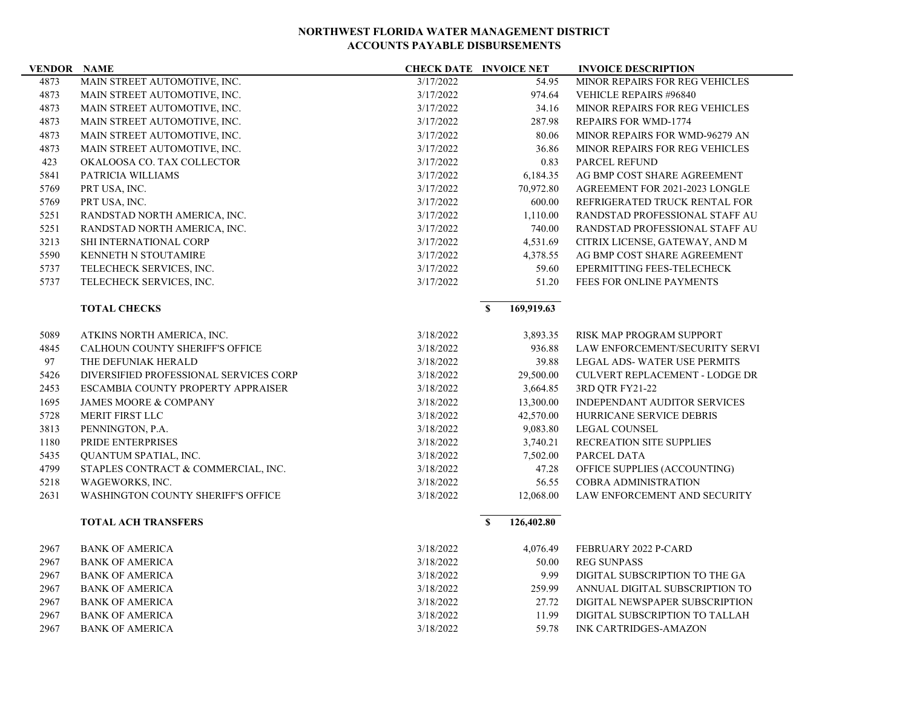| <b>VENDOR NAME</b> |                                        | <b>CHECK DATE INVOICE NET</b> |                            | <b>INVOICE DESCRIPTION</b>            |
|--------------------|----------------------------------------|-------------------------------|----------------------------|---------------------------------------|
| 4873               | MAIN STREET AUTOMOTIVE, INC.           | 3/17/2022                     | 54.95                      | <b>MINOR REPAIRS FOR REG VEHICLES</b> |
| 4873               | MAIN STREET AUTOMOTIVE, INC.           | 3/17/2022                     | 974.64                     | <b>VEHICLE REPAIRS #96840</b>         |
| 4873               | MAIN STREET AUTOMOTIVE, INC.           | 3/17/2022                     | 34.16                      | MINOR REPAIRS FOR REG VEHICLES        |
| 4873               | MAIN STREET AUTOMOTIVE, INC.           | 3/17/2022                     | 287.98                     | <b>REPAIRS FOR WMD-1774</b>           |
| 4873               | MAIN STREET AUTOMOTIVE, INC.           | 3/17/2022                     | 80.06                      | MINOR REPAIRS FOR WMD-96279 AN        |
| 4873               | MAIN STREET AUTOMOTIVE, INC.           | 3/17/2022                     | 36.86                      | <b>MINOR REPAIRS FOR REG VEHICLES</b> |
| 423                | OKALOOSA CO. TAX COLLECTOR             | 3/17/2022                     | 0.83                       | <b>PARCEL REFUND</b>                  |
| 5841               | PATRICIA WILLIAMS                      | 3/17/2022                     | 6,184.35                   | AG BMP COST SHARE AGREEMENT           |
| 5769               | PRT USA, INC.                          | 3/17/2022                     | 70,972.80                  | AGREEMENT FOR 2021-2023 LONGLE        |
| 5769               | PRT USA, INC.                          | 3/17/2022                     | 600.00                     | REFRIGERATED TRUCK RENTAL FOR         |
| 5251               | RANDSTAD NORTH AMERICA, INC.           | 3/17/2022                     | 1,110.00                   | RANDSTAD PROFESSIONAL STAFF AU        |
| 5251               | RANDSTAD NORTH AMERICA, INC.           | 3/17/2022                     | 740.00                     | RANDSTAD PROFESSIONAL STAFF AU        |
| 3213               | SHI INTERNATIONAL CORP                 | 3/17/2022                     | 4,531.69                   | CITRIX LICENSE, GATEWAY, AND M        |
| 5590               | KENNETH N STOUTAMIRE                   | 3/17/2022                     | 4,378.55                   | AG BMP COST SHARE AGREEMENT           |
| 5737               | TELECHECK SERVICES, INC.               | 3/17/2022                     | 59.60                      | EPERMITTING FEES-TELECHECK            |
| 5737               | TELECHECK SERVICES, INC.               | 3/17/2022                     | 51.20                      | <b>FEES FOR ONLINE PAYMENTS</b>       |
|                    | <b>TOTAL CHECKS</b>                    |                               | 169,919.63<br>$\mathbf{s}$ |                                       |
| 5089               | ATKINS NORTH AMERICA, INC.             | 3/18/2022                     | 3,893.35                   | RISK MAP PROGRAM SUPPORT              |
| 4845               | CALHOUN COUNTY SHERIFF'S OFFICE        | 3/18/2022                     | 936.88                     | LAW ENFORCEMENT/SECURITY SERVI        |
| 97                 | THE DEFUNIAK HERALD                    | 3/18/2022                     | 39.88                      | LEGAL ADS- WATER USE PERMITS          |
| 5426               | DIVERSIFIED PROFESSIONAL SERVICES CORP | 3/18/2022                     | 29,500.00                  | <b>CULVERT REPLACEMENT - LODGE DR</b> |
| 2453               | ESCAMBIA COUNTY PROPERTY APPRAISER     | 3/18/2022                     | 3,664.85                   | 3RD QTR FY21-22                       |
| 1695               | <b>JAMES MOORE &amp; COMPANY</b>       | 3/18/2022                     | 13,300.00                  | <b>INDEPENDANT AUDITOR SERVICES</b>   |
| 5728               | MERIT FIRST LLC                        | 3/18/2022                     | 42,570.00                  | HURRICANE SERVICE DEBRIS              |
| 3813               | PENNINGTON, P.A.                       | 3/18/2022                     | 9,083.80                   | <b>LEGAL COUNSEL</b>                  |
| 1180               | PRIDE ENTERPRISES                      | 3/18/2022                     | 3,740.21                   | RECREATION SITE SUPPLIES              |
| 5435               | QUANTUM SPATIAL, INC.                  | 3/18/2022                     | 7,502.00                   | PARCEL DATA                           |
| 4799               | STAPLES CONTRACT & COMMERCIAL, INC.    | 3/18/2022                     | 47.28                      | OFFICE SUPPLIES (ACCOUNTING)          |
| 5218               | WAGEWORKS, INC.                        | 3/18/2022                     | 56.55                      | <b>COBRA ADMINISTRATION</b>           |
| 2631               | WASHINGTON COUNTY SHERIFF'S OFFICE     | 3/18/2022                     | 12,068.00                  | LAW ENFORCEMENT AND SECURITY          |
|                    | <b>TOTAL ACH TRANSFERS</b>             |                               | $\mathbf{s}$<br>126,402.80 |                                       |
| 2967               | <b>BANK OF AMERICA</b>                 | 3/18/2022                     | 4,076.49                   | FEBRUARY 2022 P-CARD                  |
| 2967               | <b>BANK OF AMERICA</b>                 | 3/18/2022                     | 50.00                      | <b>REG SUNPASS</b>                    |
| 2967               | <b>BANK OF AMERICA</b>                 | 3/18/2022                     | 9.99                       | DIGITAL SUBSCRIPTION TO THE GA        |
| 2967               | <b>BANK OF AMERICA</b>                 | 3/18/2022                     | 259.99                     | ANNUAL DIGITAL SUBSCRIPTION TO        |
| 2967               | <b>BANK OF AMERICA</b>                 | 3/18/2022                     | 27.72                      | DIGITAL NEWSPAPER SUBSCRIPTION        |
| 2967               | <b>BANK OF AMERICA</b>                 | 3/18/2022                     | 11.99                      | DIGITAL SUBSCRIPTION TO TALLAH        |
| 2967               | <b>BANK OF AMERICA</b>                 | 3/18/2022                     | 59.78                      | <b>INK CARTRIDGES-AMAZON</b>          |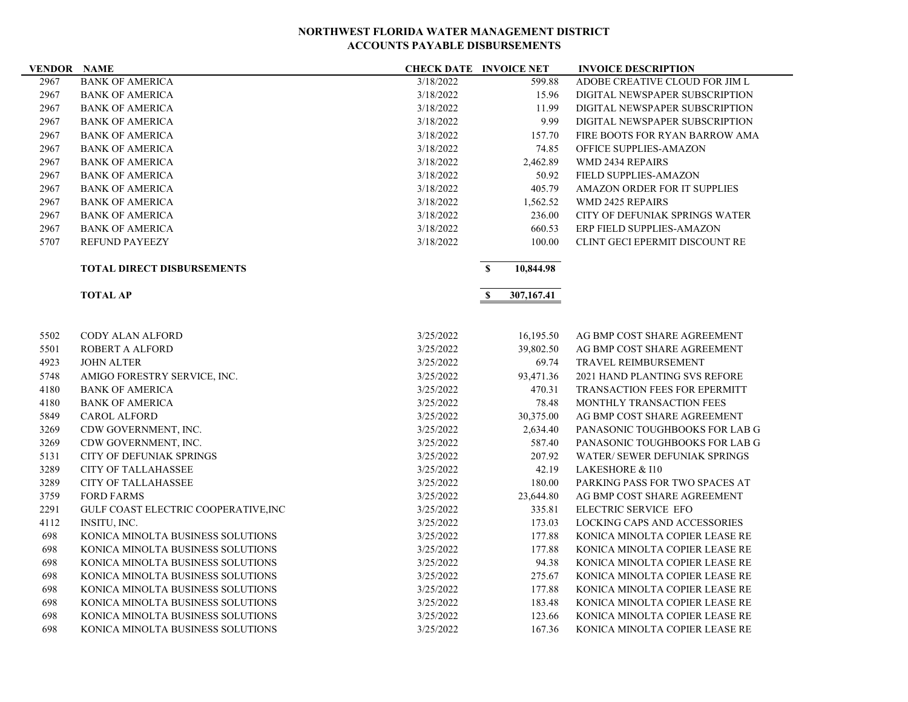| <b>VENDOR NAME</b> |                                      | <b>CHECK DATE INVOICE NET</b> |              |            | <b>INVOICE DESCRIPTION</b>           |
|--------------------|--------------------------------------|-------------------------------|--------------|------------|--------------------------------------|
| 2967               | <b>BANK OF AMERICA</b>               | 3/18/2022                     |              | 599.88     | ADOBE CREATIVE CLOUD FOR JIM L       |
| 2967               | <b>BANK OF AMERICA</b>               | 3/18/2022                     |              | 15.96      | DIGITAL NEWSPAPER SUBSCRIPTION       |
| 2967               | <b>BANK OF AMERICA</b>               | 3/18/2022                     |              | 11.99      | DIGITAL NEWSPAPER SUBSCRIPTION       |
| 2967               | <b>BANK OF AMERICA</b>               | 3/18/2022                     |              | 9.99       | DIGITAL NEWSPAPER SUBSCRIPTION       |
| 2967               | <b>BANK OF AMERICA</b>               | 3/18/2022                     |              | 157.70     | FIRE BOOTS FOR RYAN BARROW AMA       |
| 2967               | <b>BANK OF AMERICA</b>               | 3/18/2022                     |              | 74.85      | OFFICE SUPPLIES-AMAZON               |
| 2967               | <b>BANK OF AMERICA</b>               | 3/18/2022                     |              | 2,462.89   | <b>WMD 2434 REPAIRS</b>              |
| 2967               | <b>BANK OF AMERICA</b>               | 3/18/2022                     |              | 50.92      | <b>FIELD SUPPLIES-AMAZON</b>         |
| 2967               | <b>BANK OF AMERICA</b>               | 3/18/2022                     |              | 405.79     | AMAZON ORDER FOR IT SUPPLIES         |
| 2967               | <b>BANK OF AMERICA</b>               | 3/18/2022                     |              | 1,562.52   | <b>WMD 2425 REPAIRS</b>              |
| 2967               | <b>BANK OF AMERICA</b>               | 3/18/2022                     |              | 236.00     | CITY OF DEFUNIAK SPRINGS WATER       |
| 2967               | <b>BANK OF AMERICA</b>               | 3/18/2022                     |              | 660.53     | ERP FIELD SUPPLIES-AMAZON            |
| 5707               | <b>REFUND PAYEEZY</b>                | 3/18/2022                     |              | 100.00     | CLINT GECI EPERMIT DISCOUNT RE       |
|                    | <b>TOTAL DIRECT DISBURSEMENTS</b>    |                               | $\mathbf{s}$ | 10,844.98  |                                      |
|                    | <b>TOTAL AP</b>                      |                               | $\mathbf s$  | 307,167.41 |                                      |
|                    |                                      |                               |              |            |                                      |
| 5502               | <b>CODY ALAN ALFORD</b>              | 3/25/2022                     |              | 16,195.50  | AG BMP COST SHARE AGREEMENT          |
| 5501               | <b>ROBERT A ALFORD</b>               | 3/25/2022                     |              | 39,802.50  | AG BMP COST SHARE AGREEMENT          |
| 4923               | <b>JOHN ALTER</b>                    | 3/25/2022                     |              | 69.74      | <b>TRAVEL REIMBURSEMENT</b>          |
| 5748               | AMIGO FORESTRY SERVICE, INC.         | 3/25/2022                     |              | 93,471.36  | 2021 HAND PLANTING SVS REFORE        |
| 4180               | <b>BANK OF AMERICA</b>               | 3/25/2022                     |              | 470.31     | <b>TRANSACTION FEES FOR EPERMITT</b> |
| 4180               | <b>BANK OF AMERICA</b>               | 3/25/2022                     |              | 78.48      | MONTHLY TRANSACTION FEES             |
| 5849               | <b>CAROL ALFORD</b>                  | 3/25/2022                     |              | 30,375.00  | AG BMP COST SHARE AGREEMENT          |
| 3269               | CDW GOVERNMENT, INC.                 | 3/25/2022                     |              | 2,634.40   | PANASONIC TOUGHBOOKS FOR LAB G       |
| 3269               | CDW GOVERNMENT, INC.                 | 3/25/2022                     | 587.40       |            | PANASONIC TOUGHBOOKS FOR LAB G       |
| 5131               | <b>CITY OF DEFUNIAK SPRINGS</b>      | 3/25/2022                     |              | 207.92     | WATER/ SEWER DEFUNIAK SPRINGS        |
| 3289               | <b>CITY OF TALLAHASSEE</b>           | 3/25/2022                     |              | 42.19      | <b>LAKESHORE &amp; I10</b>           |
| 3289               | <b>CITY OF TALLAHASSEE</b>           | 3/25/2022                     |              | 180.00     | PARKING PASS FOR TWO SPACES AT       |
| 3759               | <b>FORD FARMS</b>                    | 3/25/2022                     |              | 23,644.80  | AG BMP COST SHARE AGREEMENT          |
| 2291               | GULF COAST ELECTRIC COOPERATIVE, INC | 3/25/2022                     |              | 335.81     | ELECTRIC SERVICE EFO                 |
| 4112               | INSITU, INC.                         | 3/25/2022                     |              | 173.03     | <b>LOCKING CAPS AND ACCESSORIES</b>  |
| 698                | KONICA MINOLTA BUSINESS SOLUTIONS    | 3/25/2022                     |              | 177.88     | KONICA MINOLTA COPIER LEASE RE       |
| 698                | KONICA MINOLTA BUSINESS SOLUTIONS    | 3/25/2022                     |              | 177.88     | KONICA MINOLTA COPIER LEASE RE       |
| 698                | KONICA MINOLTA BUSINESS SOLUTIONS    | 3/25/2022                     |              | 94.38      | KONICA MINOLTA COPIER LEASE RE       |
| 698                | KONICA MINOLTA BUSINESS SOLUTIONS    | 3/25/2022                     |              | 275.67     | KONICA MINOLTA COPIER LEASE RE       |
| 698                | KONICA MINOLTA BUSINESS SOLUTIONS    | 3/25/2022                     |              | 177.88     | KONICA MINOLTA COPIER LEASE RE       |
| 698                | KONICA MINOLTA BUSINESS SOLUTIONS    | 3/25/2022                     |              | 183.48     | KONICA MINOLTA COPIER LEASE RE       |
| 698                | KONICA MINOLTA BUSINESS SOLUTIONS    | 3/25/2022                     |              | 123.66     | KONICA MINOLTA COPIER LEASE RE       |
| 698                | KONICA MINOLTA BUSINESS SOLUTIONS    | 3/25/2022                     |              | 167.36     | KONICA MINOLTA COPIER LEASE RE       |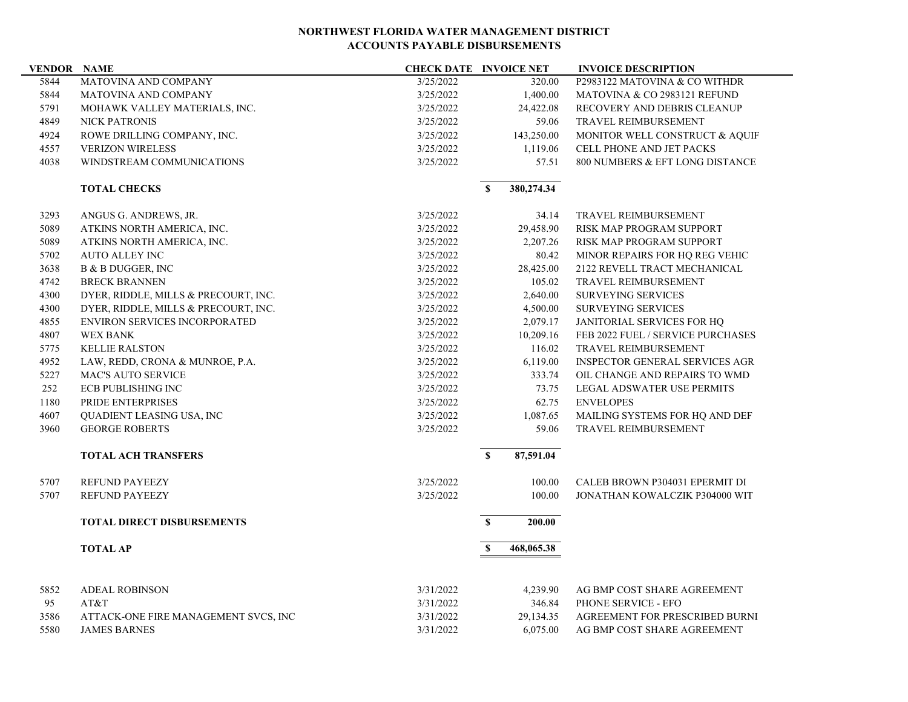| <b>VENDOR NAME</b> |                                      | <b>CHECK DATE INVOICE NET</b> |                                          |            | <b>INVOICE DESCRIPTION</b>            |
|--------------------|--------------------------------------|-------------------------------|------------------------------------------|------------|---------------------------------------|
| 5844               | MATOVINA AND COMPANY                 | 3/25/2022                     |                                          | 320.00     | P2983122 MATOVINA & CO WITHDR         |
| 5844               | MATOVINA AND COMPANY                 | 3/25/2022                     | 1,400.00<br>MATOVINA & CO 2983121 REFUND |            |                                       |
| 5791               | MOHAWK VALLEY MATERIALS, INC.        | 3/25/2022                     |                                          | 24,422.08  | RECOVERY AND DEBRIS CLEANUP           |
| 4849               | <b>NICK PATRONIS</b>                 | 3/25/2022                     |                                          | 59.06      | TRAVEL REIMBURSEMENT                  |
| 4924               | ROWE DRILLING COMPANY, INC.          | 3/25/2022                     |                                          | 143,250.00 | MONITOR WELL CONSTRUCT & AQUIF        |
| 4557               | <b>VERIZON WIRELESS</b>              | 3/25/2022                     |                                          | 1,119.06   | CELL PHONE AND JET PACKS              |
| 4038               | WINDSTREAM COMMUNICATIONS            | 3/25/2022                     |                                          | 57.51      | 800 NUMBERS & EFT LONG DISTANCE       |
|                    | <b>TOTAL CHECKS</b>                  |                               | $\mathbf{s}$                             | 380,274.34 |                                       |
|                    |                                      |                               |                                          |            |                                       |
| 3293               | ANGUS G. ANDREWS, JR.                | 3/25/2022                     |                                          | 34.14      | TRAVEL REIMBURSEMENT                  |
| 5089               | ATKINS NORTH AMERICA, INC.           | 3/25/2022                     |                                          | 29,458.90  | RISK MAP PROGRAM SUPPORT              |
| 5089               | ATKINS NORTH AMERICA, INC.           | 3/25/2022                     |                                          | 2,207.26   | RISK MAP PROGRAM SUPPORT              |
| 5702               | <b>AUTO ALLEY INC</b>                | 3/25/2022                     |                                          | 80.42      | MINOR REPAIRS FOR HQ REG VEHIC        |
| 3638               | B & B DUGGER, INC                    | 3/25/2022                     |                                          | 28,425.00  | 2122 REVELL TRACT MECHANICAL          |
| 4742               | <b>BRECK BRANNEN</b>                 | 3/25/2022                     |                                          | 105.02     | TRAVEL REIMBURSEMENT                  |
| 4300               | DYER, RIDDLE, MILLS & PRECOURT, INC. | 3/25/2022                     |                                          | 2,640.00   | <b>SURVEYING SERVICES</b>             |
| 4300               | DYER, RIDDLE, MILLS & PRECOURT, INC. | 3/25/2022                     |                                          | 4,500.00   | <b>SURVEYING SERVICES</b>             |
| 4855               | <b>ENVIRON SERVICES INCORPORATED</b> | 3/25/2022                     |                                          | 2,079.17   | JANITORIAL SERVICES FOR HO            |
| 4807               | <b>WEX BANK</b>                      | 3/25/2022                     |                                          | 10,209.16  | FEB 2022 FUEL / SERVICE PURCHASES     |
| 5775               | <b>KELLIE RALSTON</b>                | 3/25/2022                     |                                          | 116.02     | TRAVEL REIMBURSEMENT                  |
| 4952               | LAW, REDD, CRONA & MUNROE, P.A.      | 3/25/2022                     |                                          | 6,119.00   | <b>INSPECTOR GENERAL SERVICES AGR</b> |
| 5227               | <b>MAC'S AUTO SERVICE</b>            | 3/25/2022                     |                                          | 333.74     | OIL CHANGE AND REPAIRS TO WMD         |
| 252                | <b>ECB PUBLISHING INC</b>            | 3/25/2022                     |                                          | 73.75      | LEGAL ADSWATER USE PERMITS            |
| 1180               | PRIDE ENTERPRISES                    | 3/25/2022                     |                                          | 62.75      | <b>ENVELOPES</b>                      |
| 4607               | QUADIENT LEASING USA, INC            | 3/25/2022                     |                                          | 1,087.65   | MAILING SYSTEMS FOR HQ AND DEF        |
| 3960               | <b>GEORGE ROBERTS</b>                | 3/25/2022                     |                                          | 59.06      | <b>TRAVEL REIMBURSEMENT</b>           |
|                    | <b>TOTAL ACH TRANSFERS</b>           |                               | $\mathbf{s}$                             | 87,591.04  |                                       |
| 5707               | <b>REFUND PAYEEZY</b>                | 3/25/2022                     |                                          | 100.00     | CALEB BROWN P304031 EPERMIT DI        |
| 5707               | <b>REFUND PAYEEZY</b>                | 3/25/2022                     |                                          | 100.00     | JONATHAN KOWALCZIK P304000 WIT        |
|                    | <b>TOTAL DIRECT DISBURSEMENTS</b>    |                               | $\mathbf S$                              | 200.00     |                                       |
|                    |                                      |                               | $\mathbf{s}$                             |            |                                       |
|                    | <b>TOTAL AP</b>                      |                               |                                          | 468,065.38 |                                       |
| 5852               | <b>ADEAL ROBINSON</b>                | 3/31/2022                     |                                          | 4,239.90   | AG BMP COST SHARE AGREEMENT           |
| 95                 | AT&T                                 | 3/31/2022                     |                                          | 346.84     | PHONE SERVICE - EFO                   |
| 3586               | ATTACK-ONE FIRE MANAGEMENT SVCS, INC | 3/31/2022                     |                                          | 29,134.35  | AGREEMENT FOR PRESCRIBED BURNI        |
| 5580               | <b>JAMES BARNES</b>                  | 3/31/2022                     |                                          | 6,075.00   | AG BMP COST SHARE AGREEMENT           |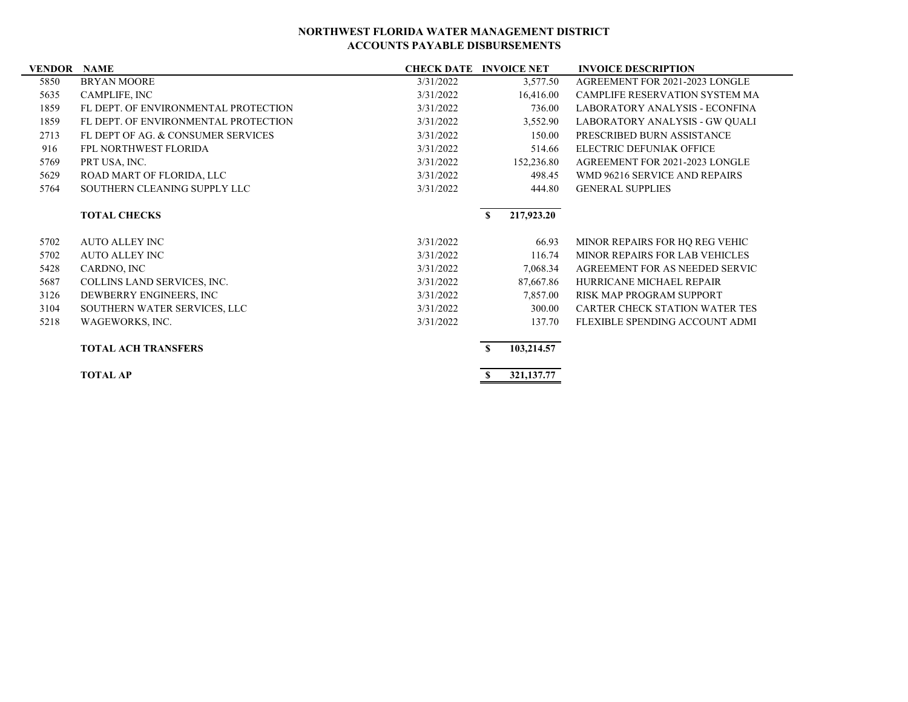| <b>VENDOR NAME</b> |                                      |           | <b>CHECK DATE INVOICE NET</b> | <b>INVOICE DESCRIPTION</b>            |
|--------------------|--------------------------------------|-----------|-------------------------------|---------------------------------------|
| 5850               | <b>BRYAN MOORE</b>                   | 3/31/2022 | 3,577.50                      | AGREEMENT FOR 2021-2023 LONGLE        |
| 5635               | CAMPLIFE, INC                        | 3/31/2022 | 16,416.00                     | CAMPLIFE RESERVATION SYSTEM MA        |
| 1859               | FL DEPT. OF ENVIRONMENTAL PROTECTION | 3/31/2022 | 736.00                        | <b>LABORATORY ANALYSIS - ECONFINA</b> |
| 1859               | FL DEPT. OF ENVIRONMENTAL PROTECTION | 3/31/2022 | 3,552.90                      | LABORATORY ANALYSIS - GW QUALI        |
| 2713               | FL DEPT OF AG. & CONSUMER SERVICES   | 3/31/2022 | 150.00                        | PRESCRIBED BURN ASSISTANCE            |
| 916                | FPL NORTHWEST FLORIDA                | 3/31/2022 | 514.66                        | ELECTRIC DEFUNIAK OFFICE              |
| 5769               | PRT USA, INC.                        | 3/31/2022 | 152,236.80                    | AGREEMENT FOR 2021-2023 LONGLE        |
| 5629               | ROAD MART OF FLORIDA, LLC            | 3/31/2022 | 498.45                        | WMD 96216 SERVICE AND REPAIRS         |
| 5764               | SOUTHERN CLEANING SUPPLY LLC         | 3/31/2022 | 444.80                        | <b>GENERAL SUPPLIES</b>               |
|                    |                                      |           |                               |                                       |
|                    | <b>TOTAL CHECKS</b>                  |           | 217,923.20<br>$\mathbf{s}$    |                                       |
| 5702               | <b>AUTO ALLEY INC</b>                | 3/31/2022 | 66.93                         | MINOR REPAIRS FOR HQ REG VEHIC        |
| 5702               | <b>AUTO ALLEY INC</b>                | 3/31/2022 | 116.74                        | MINOR REPAIRS FOR LAB VEHICLES        |
| 5428               | CARDNO, INC                          | 3/31/2022 | 7,068.34                      | AGREEMENT FOR AS NEEDED SERVIC        |
| 5687               | COLLINS LAND SERVICES, INC.          | 3/31/2022 | 87,667.86                     | HURRICANE MICHAEL REPAIR              |
| 3126               | DEWBERRY ENGINEERS, INC              | 3/31/2022 | 7,857.00                      | RISK MAP PROGRAM SUPPORT              |
| 3104               | SOUTHERN WATER SERVICES, LLC         | 3/31/2022 | 300.00                        | CARTER CHECK STATION WATER TES        |
| 5218               | WAGEWORKS, INC.                      | 3/31/2022 | 137.70                        | FLEXIBLE SPENDING ACCOUNT ADMI        |
|                    |                                      |           |                               |                                       |
|                    | <b>TOTAL ACH TRANSFERS</b>           |           | 103,214.57<br>S.              |                                       |
|                    | <b>TOTAL AP</b>                      |           | 321, 137. 77<br>S             |                                       |